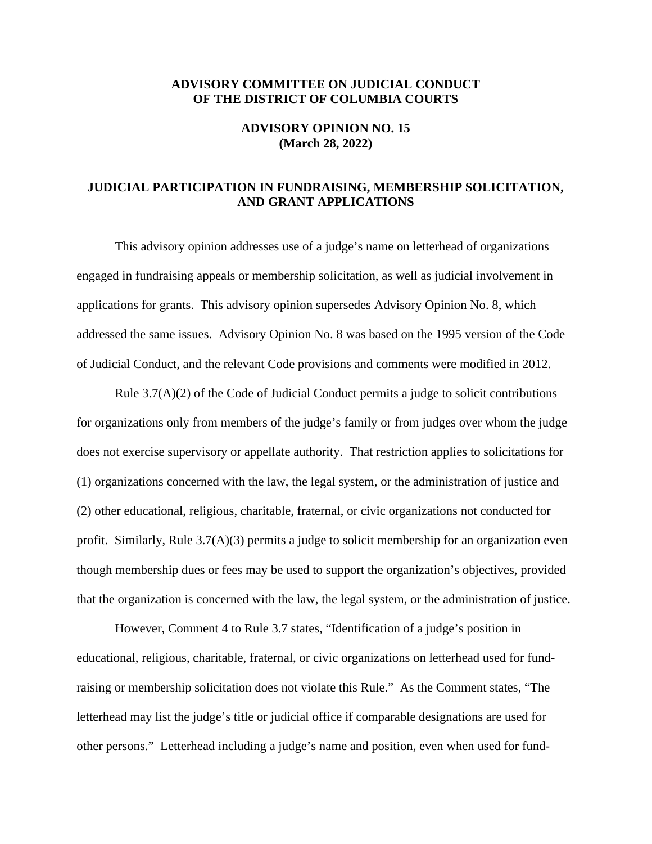## **ADVISORY COMMITTEE ON JUDICIAL CONDUCT OF THE DISTRICT OF COLUMBIA COURTS**

## **ADVISORY OPINION NO. 15 (March 28, 2022)**

## **JUDICIAL PARTICIPATION IN FUNDRAISING, MEMBERSHIP SOLICITATION, AND GRANT APPLICATIONS**

This advisory opinion addresses use of a judge's name on letterhead of organizations engaged in fundraising appeals or membership solicitation, as well as judicial involvement in applications for grants. This advisory opinion supersedes Advisory Opinion No. 8, which addressed the same issues. Advisory Opinion No. 8 was based on the 1995 version of the Code of Judicial Conduct, and the relevant Code provisions and comments were modified in 2012.

 that the organization is concerned with the law, the legal system, or the administration of justice. However, Comment 4 to Rule 3.7 states, "Identification of a judge's position in Rule 3.7(A)(2) of the Code of Judicial Conduct permits a judge to solicit contributions for organizations only from members of the judge's family or from judges over whom the judge does not exercise supervisory or appellate authority. That restriction applies to solicitations for (1) organizations concerned with the law, the legal system, or the administration of justice and (2) other educational, religious, charitable, fraternal, or civic organizations not conducted for profit. Similarly, Rule 3.7(A)(3) permits a judge to solicit membership for an organization even though membership dues or fees may be used to support the organization's objectives, provided

 other persons." Letterhead including a judge's name and position, even when used for fundeducational, religious, charitable, fraternal, or civic organizations on letterhead used for fundraising or membership solicitation does not violate this Rule." As the Comment states, "The letterhead may list the judge's title or judicial office if comparable designations are used for